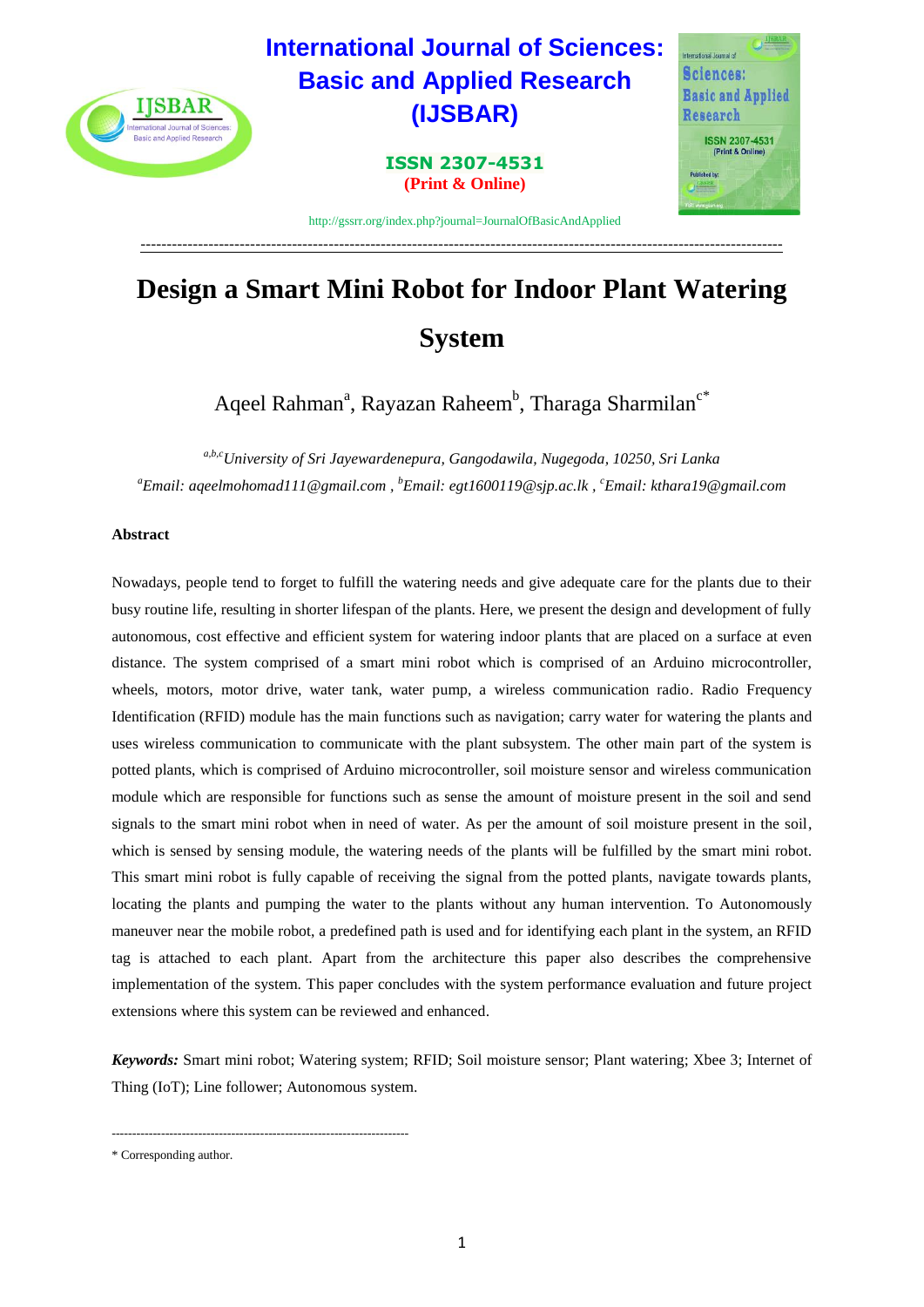

# **Design a Smart Mini Robot for Indoor Plant Watering System**

---------------------------------------------------------------------------------------------------------------------------

Aqeel Rahman<sup>a</sup>, Rayazan Raheem<sup>b</sup>, Tharaga Sharmilan<sup>c\*</sup>

*a,b,cUniversity of Sri Jayewardenepura, Gangodawila, Nugegoda, 10250, Sri Lanka <sup>a</sup>Email: aqeelmohomad111@gmail.com , <sup>b</sup>Email: egt1600119@sjp.ac.lk , <sup>c</sup>Email: kthara19@gmail.com*

# **Abstract**

Nowadays, people tend to forget to fulfill the watering needs and give adequate care for the plants due to their busy routine life, resulting in shorter lifespan of the plants. Here, we present the design and development of fully autonomous, cost effective and efficient system for watering indoor plants that are placed on a surface at even distance. The system comprised of a smart mini robot which is comprised of an Arduino microcontroller, wheels, motors, motor drive, water tank, water pump, a wireless communication radio. Radio Frequency Identification (RFID) module has the main functions such as navigation; carry water for watering the plants and uses wireless communication to communicate with the plant subsystem. The other main part of the system is potted plants, which is comprised of Arduino microcontroller, soil moisture sensor and wireless communication module which are responsible for functions such as sense the amount of moisture present in the soil and send signals to the smart mini robot when in need of water. As per the amount of soil moisture present in the soil, which is sensed by sensing module, the watering needs of the plants will be fulfilled by the smart mini robot. This smart mini robot is fully capable of receiving the signal from the potted plants, navigate towards plants, locating the plants and pumping the water to the plants without any human intervention. To Autonomously maneuver near the mobile robot, a predefined path is used and for identifying each plant in the system, an RFID tag is attached to each plant. Apart from the architecture this paper also describes the comprehensive implementation of the system. This paper concludes with the system performance evaluation and future project extensions where this system can be reviewed and enhanced.

*Keywords:* Smart mini robot; Watering system; RFID; Soil moisture sensor; Plant watering; Xbee 3; Internet of Thing (IoT); Line follower; Autonomous system.

------------------------------------------------------------------------

<sup>\*</sup> Corresponding author.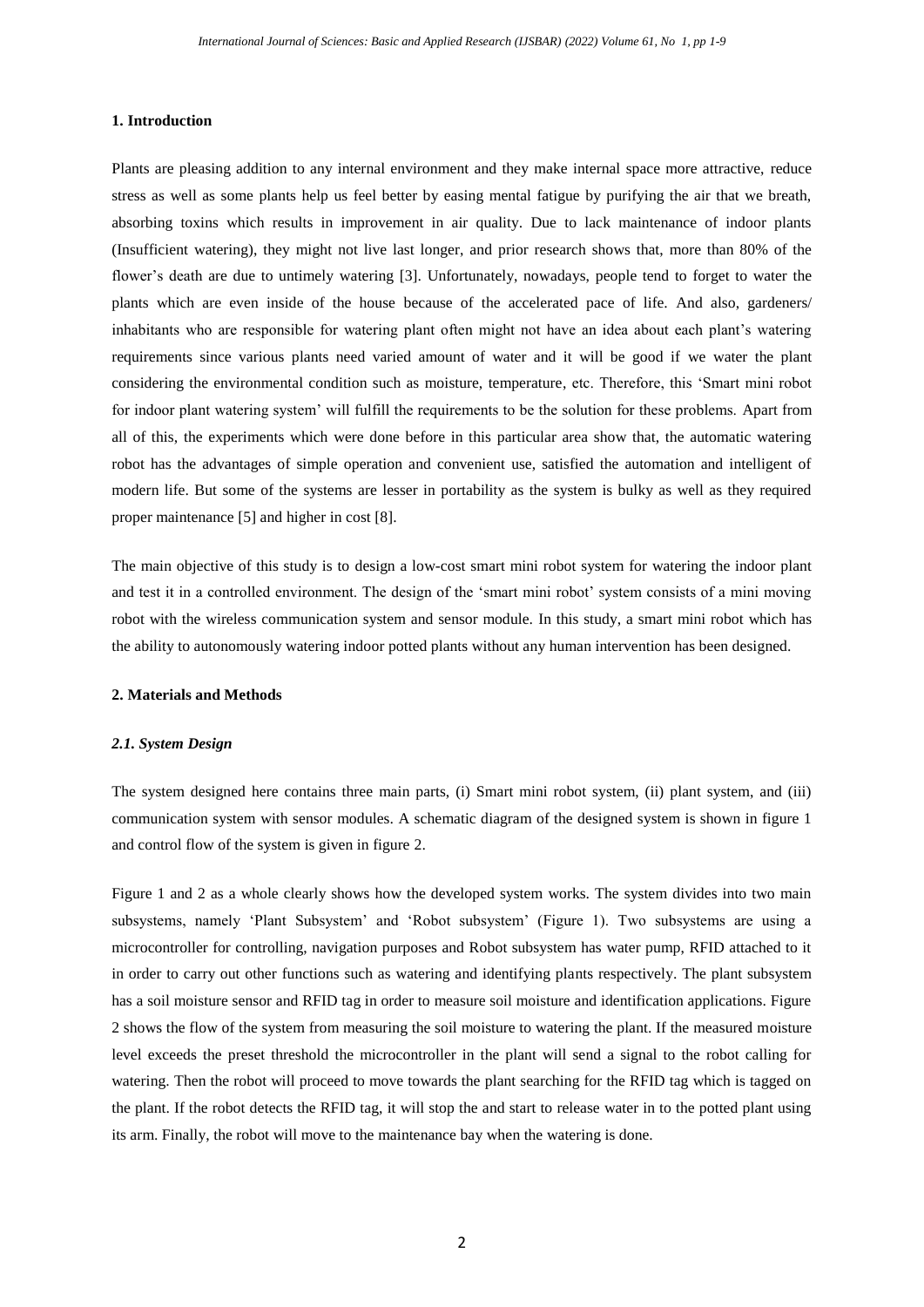## **1. Introduction**

Plants are pleasing addition to any internal environment and they make internal space more attractive, reduce stress as well as some plants help us feel better by easing mental fatigue by purifying the air that we breath, absorbing toxins which results in improvement in air quality. Due to lack maintenance of indoor plants (Insufficient watering), they might not live last longer, and prior research shows that, more than 80% of the flower's death are due to untimely watering [3]. Unfortunately, nowadays, people tend to forget to water the plants which are even inside of the house because of the accelerated pace of life. And also, gardeners/ inhabitants who are responsible for watering plant often might not have an idea about each plant's watering requirements since various plants need varied amount of water and it will be good if we water the plant considering the environmental condition such as moisture, temperature, etc. Therefore, this 'Smart mini robot for indoor plant watering system' will fulfill the requirements to be the solution for these problems. Apart from all of this, the experiments which were done before in this particular area show that, the automatic watering robot has the advantages of simple operation and convenient use, satisfied the automation and intelligent of modern life. But some of the systems are lesser in portability as the system is bulky as well as they required proper maintenance [5] and higher in cost [8].

The main objective of this study is to design a low-cost smart mini robot system for watering the indoor plant and test it in a controlled environment. The design of the 'smart mini robot' system consists of a mini moving robot with the wireless communication system and sensor module. In this study, a smart mini robot which has the ability to autonomously watering indoor potted plants without any human intervention has been designed.

#### **2. Materials and Methods**

### *2.1. System Design*

The system designed here contains three main parts, (i) Smart mini robot system, (ii) plant system, and (iii) communication system with sensor modules. A schematic diagram of the designed system is shown in figure 1 and control flow of the system is given in figure 2.

Figure 1 and 2 as a whole clearly shows how the developed system works. The system divides into two main subsystems, namely 'Plant Subsystem' and 'Robot subsystem' (Figure 1). Two subsystems are using a microcontroller for controlling, navigation purposes and Robot subsystem has water pump, RFID attached to it in order to carry out other functions such as watering and identifying plants respectively. The plant subsystem has a soil moisture sensor and RFID tag in order to measure soil moisture and identification applications. Figure 2 shows the flow of the system from measuring the soil moisture to watering the plant. If the measured moisture level exceeds the preset threshold the microcontroller in the plant will send a signal to the robot calling for watering. Then the robot will proceed to move towards the plant searching for the RFID tag which is tagged on the plant. If the robot detects the RFID tag, it will stop the and start to release water in to the potted plant using its arm. Finally, the robot will move to the maintenance bay when the watering is done.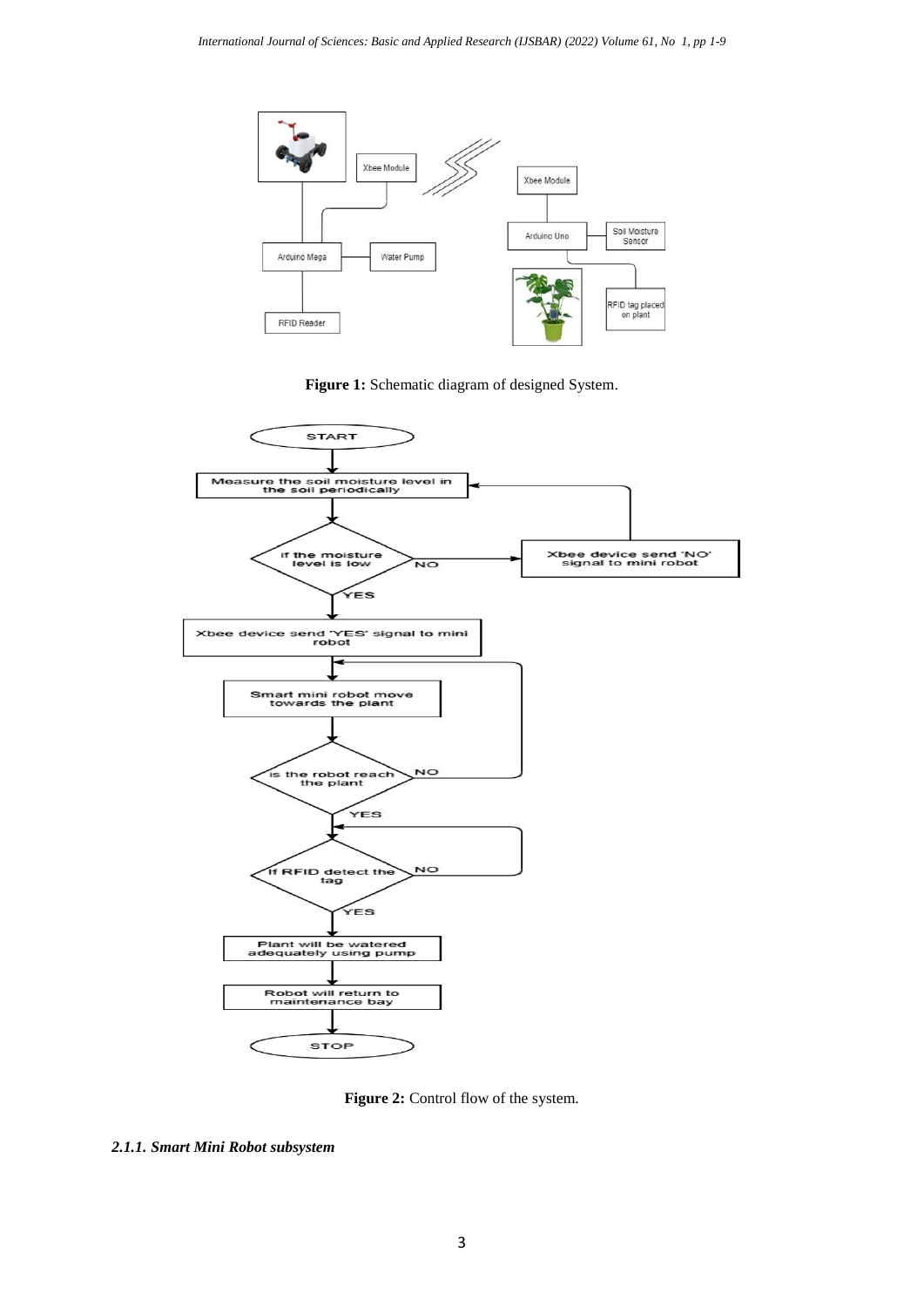

**Figure 1:** Schematic diagram of designed System.



Figure 2: Control flow of the system.

*2.1.1. Smart Mini Robot subsystem*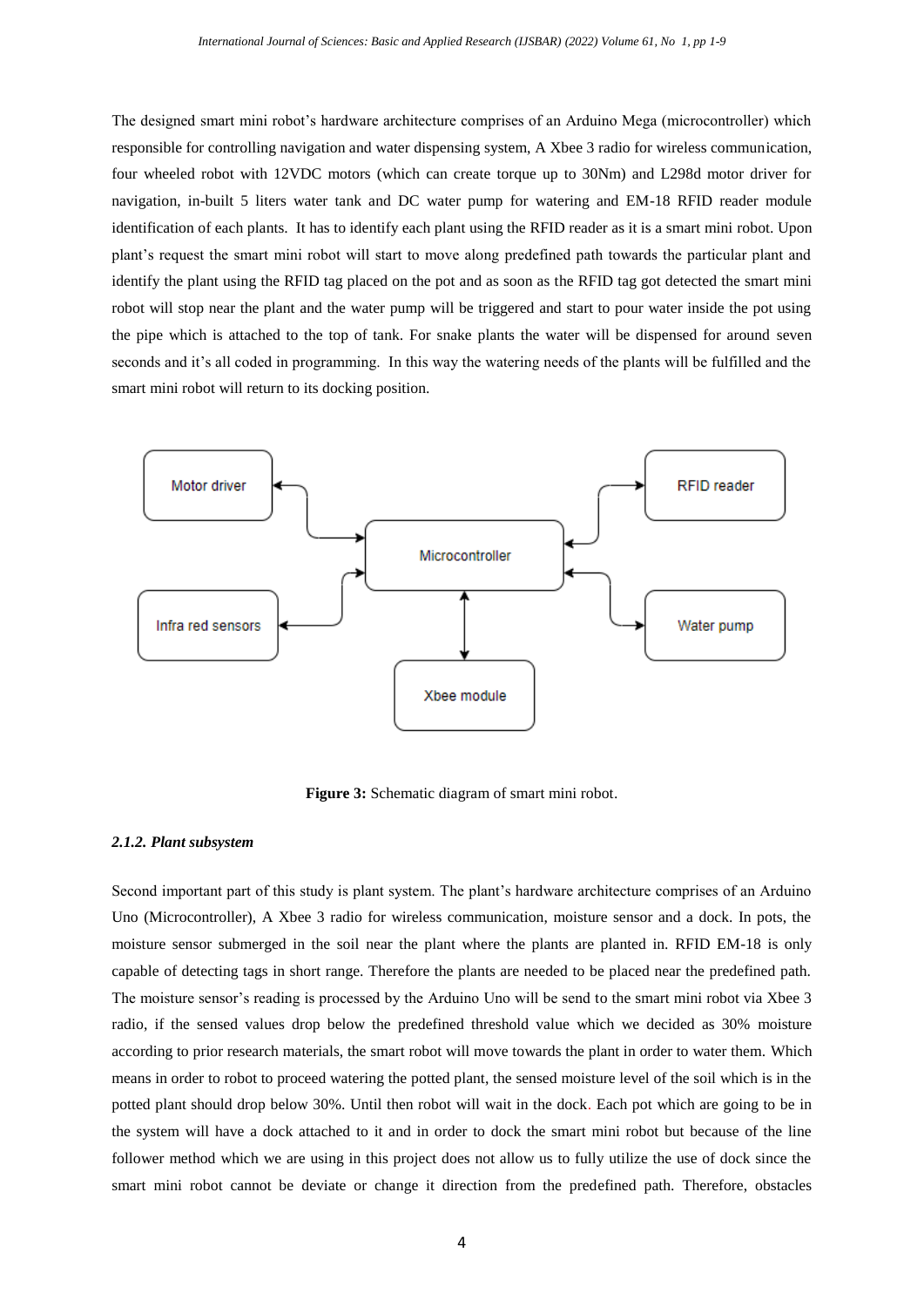The designed smart mini robot's hardware architecture comprises of an Arduino Mega (microcontroller) which responsible for controlling navigation and water dispensing system, A Xbee 3 radio for wireless communication, four wheeled robot with 12VDC motors (which can create torque up to 30Nm) and L298d motor driver for navigation, in-built 5 liters water tank and DC water pump for watering and EM-18 RFID reader module identification of each plants. It has to identify each plant using the RFID reader as it is a smart mini robot. Upon plant's request the smart mini robot will start to move along predefined path towards the particular plant and identify the plant using the RFID tag placed on the pot and as soon as the RFID tag got detected the smart mini robot will stop near the plant and the water pump will be triggered and start to pour water inside the pot using the pipe which is attached to the top of tank. For snake plants the water will be dispensed for around seven seconds and it's all coded in programming. In this way the watering needs of the plants will be fulfilled and the smart mini robot will return to its docking position.



**Figure 3:** Schematic diagram of smart mini robot.

### *2.1.2. Plant subsystem*

Second important part of this study is plant system. The plant's hardware architecture comprises of an Arduino Uno (Microcontroller), A Xbee 3 radio for wireless communication, moisture sensor and a dock. In pots, the moisture sensor submerged in the soil near the plant where the plants are planted in. RFID EM-18 is only capable of detecting tags in short range. Therefore the plants are needed to be placed near the predefined path. The moisture sensor's reading is processed by the Arduino Uno will be send to the smart mini robot via Xbee 3 radio, if the sensed values drop below the predefined threshold value which we decided as 30% moisture according to prior research materials, the smart robot will move towards the plant in order to water them. Which means in order to robot to proceed watering the potted plant, the sensed moisture level of the soil which is in the potted plant should drop below 30%. Until then robot will wait in the dock. Each pot which are going to be in the system will have a dock attached to it and in order to dock the smart mini robot but because of the line follower method which we are using in this project does not allow us to fully utilize the use of dock since the smart mini robot cannot be deviate or change it direction from the predefined path. Therefore, obstacles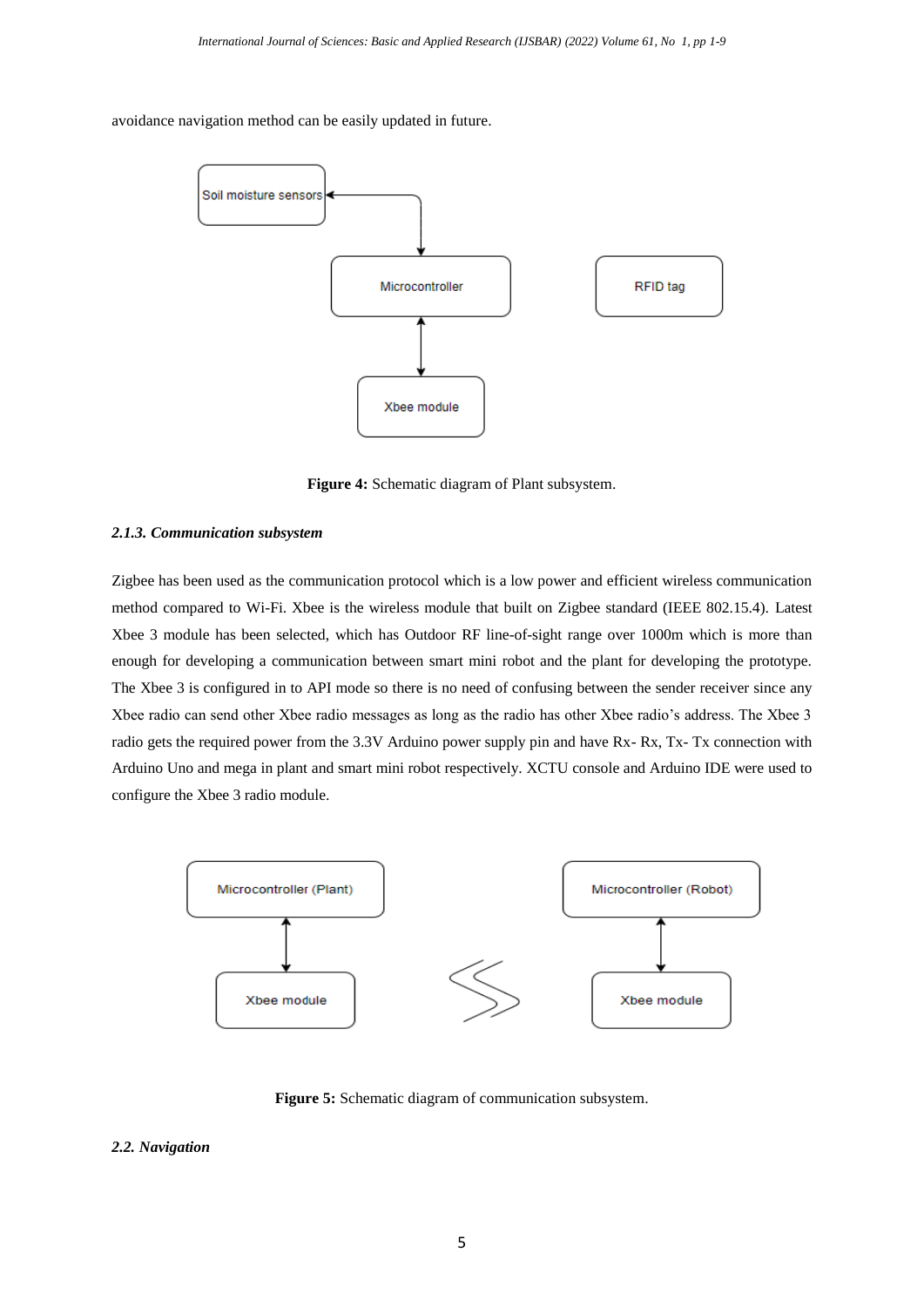avoidance navigation method can be easily updated in future.



**Figure 4:** Schematic diagram of Plant subsystem.

### *2.1.3. Communication subsystem*

Zigbee has been used as the communication protocol which is a low power and efficient wireless communication method compared to Wi-Fi. Xbee is the wireless module that built on Zigbee standard (IEEE 802.15.4). Latest Xbee 3 module has been selected, which has Outdoor RF line-of-sight range over 1000m which is more than enough for developing a communication between smart mini robot and the plant for developing the prototype. The Xbee 3 is configured in to API mode so there is no need of confusing between the sender receiver since any Xbee radio can send other Xbee radio messages as long as the radio has other Xbee radio's address. The Xbee 3 radio gets the required power from the 3.3V Arduino power supply pin and have Rx- Rx, Tx- Tx connection with Arduino Uno and mega in plant and smart mini robot respectively. XCTU console and Arduino IDE were used to configure the Xbee 3 radio module.



**Figure 5:** Schematic diagram of communication subsystem.

# *2.2. Navigation*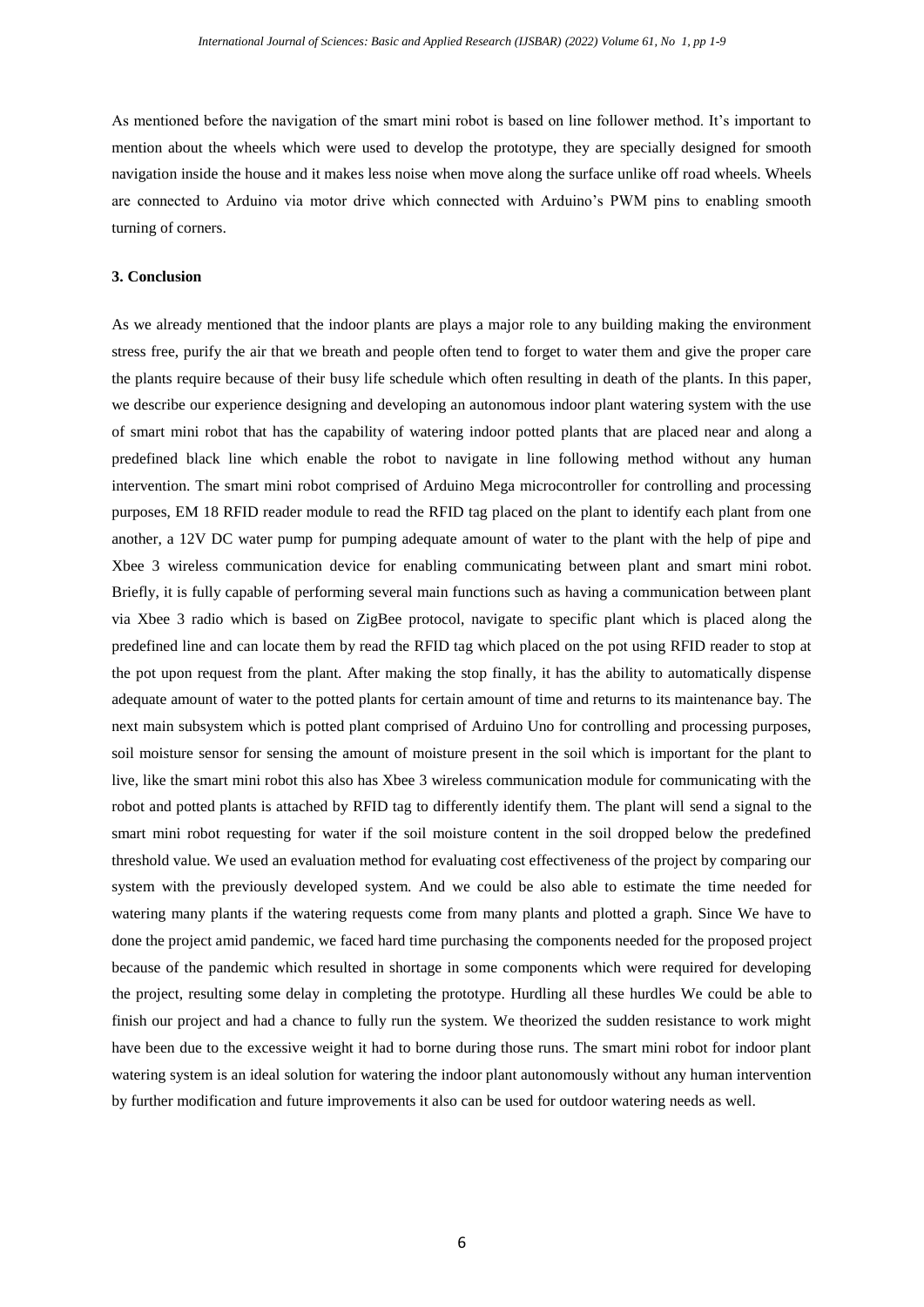As mentioned before the navigation of the smart mini robot is based on line follower method. It's important to mention about the wheels which were used to develop the prototype, they are specially designed for smooth navigation inside the house and it makes less noise when move along the surface unlike off road wheels. Wheels are connected to Arduino via motor drive which connected with Arduino's PWM pins to enabling smooth turning of corners.

#### **3. Conclusion**

As we already mentioned that the indoor plants are plays a major role to any building making the environment stress free, purify the air that we breath and people often tend to forget to water them and give the proper care the plants require because of their busy life schedule which often resulting in death of the plants. In this paper, we describe our experience designing and developing an autonomous indoor plant watering system with the use of smart mini robot that has the capability of watering indoor potted plants that are placed near and along a predefined black line which enable the robot to navigate in line following method without any human intervention. The smart mini robot comprised of Arduino Mega microcontroller for controlling and processing purposes, EM 18 RFID reader module to read the RFID tag placed on the plant to identify each plant from one another, a 12V DC water pump for pumping adequate amount of water to the plant with the help of pipe and Xbee 3 wireless communication device for enabling communicating between plant and smart mini robot. Briefly, it is fully capable of performing several main functions such as having a communication between plant via Xbee 3 radio which is based on ZigBee protocol, navigate to specific plant which is placed along the predefined line and can locate them by read the RFID tag which placed on the pot using RFID reader to stop at the pot upon request from the plant. After making the stop finally, it has the ability to automatically dispense adequate amount of water to the potted plants for certain amount of time and returns to its maintenance bay. The next main subsystem which is potted plant comprised of Arduino Uno for controlling and processing purposes, soil moisture sensor for sensing the amount of moisture present in the soil which is important for the plant to live, like the smart mini robot this also has Xbee 3 wireless communication module for communicating with the robot and potted plants is attached by RFID tag to differently identify them. The plant will send a signal to the smart mini robot requesting for water if the soil moisture content in the soil dropped below the predefined threshold value. We used an evaluation method for evaluating cost effectiveness of the project by comparing our system with the previously developed system. And we could be also able to estimate the time needed for watering many plants if the watering requests come from many plants and plotted a graph. Since We have to done the project amid pandemic, we faced hard time purchasing the components needed for the proposed project because of the pandemic which resulted in shortage in some components which were required for developing the project, resulting some delay in completing the prototype. Hurdling all these hurdles We could be able to finish our project and had a chance to fully run the system. We theorized the sudden resistance to work might have been due to the excessive weight it had to borne during those runs. The smart mini robot for indoor plant watering system is an ideal solution for watering the indoor plant autonomously without any human intervention by further modification and future improvements it also can be used for outdoor watering needs as well.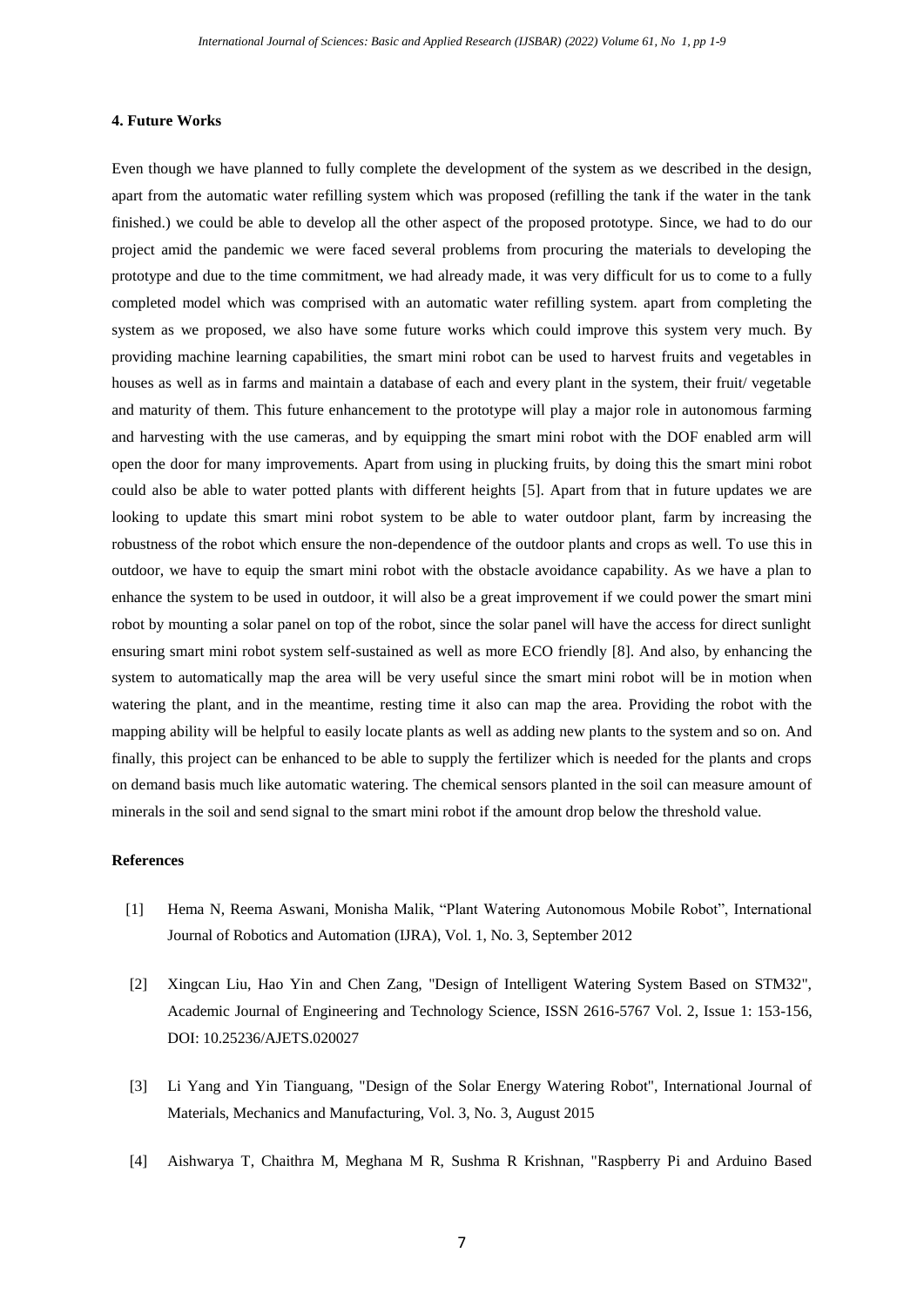#### **4. Future Works**

Even though we have planned to fully complete the development of the system as we described in the design, apart from the automatic water refilling system which was proposed (refilling the tank if the water in the tank finished.) we could be able to develop all the other aspect of the proposed prototype. Since, we had to do our project amid the pandemic we were faced several problems from procuring the materials to developing the prototype and due to the time commitment, we had already made, it was very difficult for us to come to a fully completed model which was comprised with an automatic water refilling system. apart from completing the system as we proposed, we also have some future works which could improve this system very much. By providing machine learning capabilities, the smart mini robot can be used to harvest fruits and vegetables in houses as well as in farms and maintain a database of each and every plant in the system, their fruit/ vegetable and maturity of them. This future enhancement to the prototype will play a major role in autonomous farming and harvesting with the use cameras, and by equipping the smart mini robot with the DOF enabled arm will open the door for many improvements. Apart from using in plucking fruits, by doing this the smart mini robot could also be able to water potted plants with different heights [5]. Apart from that in future updates we are looking to update this smart mini robot system to be able to water outdoor plant, farm by increasing the robustness of the robot which ensure the non-dependence of the outdoor plants and crops as well. To use this in outdoor, we have to equip the smart mini robot with the obstacle avoidance capability. As we have a plan to enhance the system to be used in outdoor, it will also be a great improvement if we could power the smart mini robot by mounting a solar panel on top of the robot, since the solar panel will have the access for direct sunlight ensuring smart mini robot system self-sustained as well as more ECO friendly [8]. And also, by enhancing the system to automatically map the area will be very useful since the smart mini robot will be in motion when watering the plant, and in the meantime, resting time it also can map the area. Providing the robot with the mapping ability will be helpful to easily locate plants as well as adding new plants to the system and so on. And finally, this project can be enhanced to be able to supply the fertilizer which is needed for the plants and crops on demand basis much like automatic watering. The chemical sensors planted in the soil can measure amount of minerals in the soil and send signal to the smart mini robot if the amount drop below the threshold value.

#### **References**

- [1] Hema N, Reema Aswani, Monisha Malik, "Plant Watering Autonomous Mobile Robot", International Journal of Robotics and Automation (IJRA), Vol. 1, No. 3, September 2012
- [2] Xingcan Liu, Hao Yin and Chen Zang, "Design of Intelligent Watering System Based on STM32", Academic Journal of Engineering and Technology Science, ISSN 2616-5767 Vol. 2, Issue 1: 153-156, DOI: 10.25236/AJETS.020027
- [3] Li Yang and Yin Tianguang, "Design of the Solar Energy Watering Robot", International Journal of Materials, Mechanics and Manufacturing, Vol. 3, No. 3, August 2015
- [4] Aishwarya T, Chaithra M, Meghana M R, Sushma R Krishnan, "Raspberry Pi and Arduino Based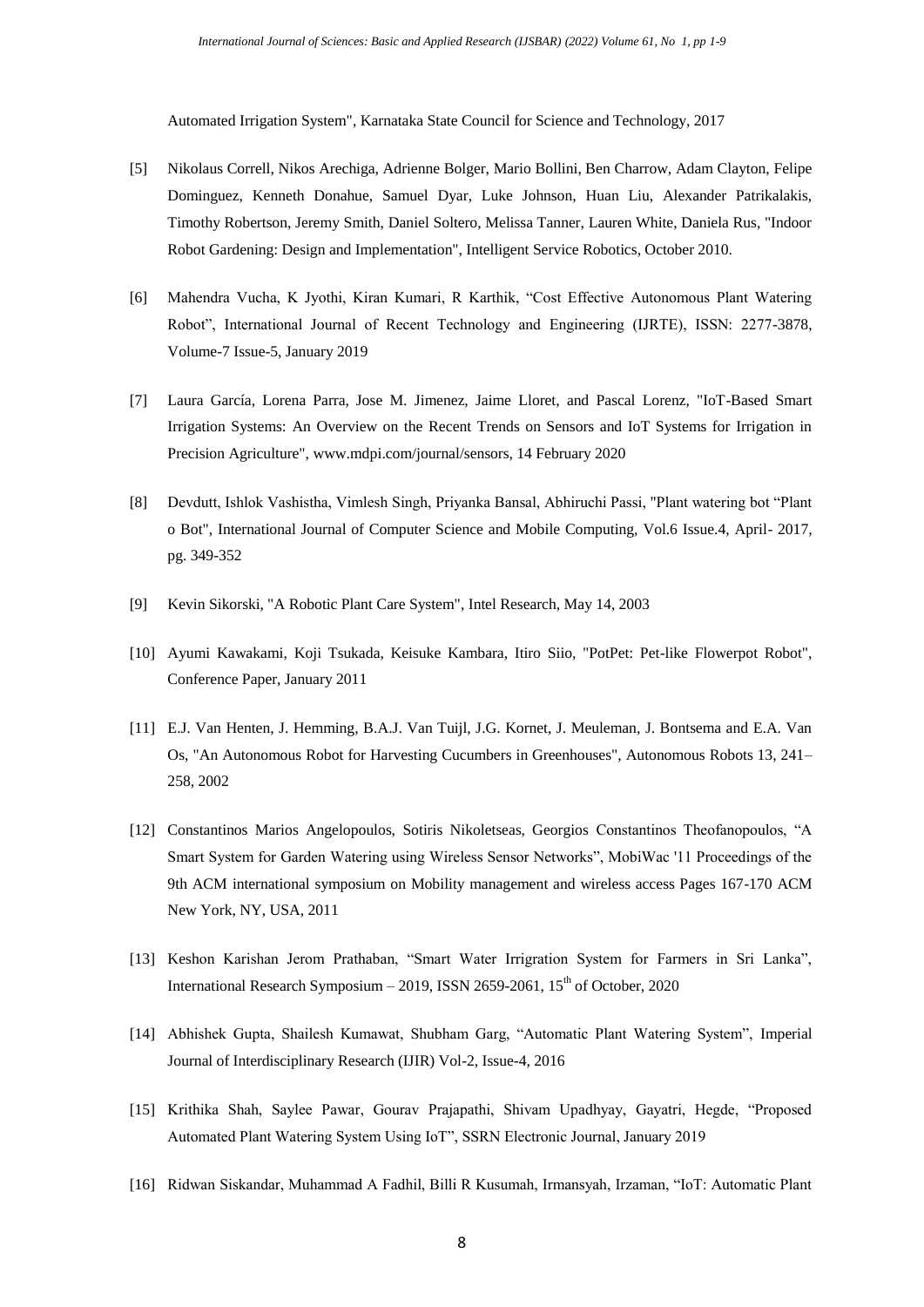Automated Irrigation System", Karnataka State Council for Science and Technology, 2017

- [5] Nikolaus Correll, Nikos Arechiga, Adrienne Bolger, Mario Bollini, Ben Charrow, Adam Clayton, Felipe Dominguez, Kenneth Donahue, Samuel Dyar, Luke Johnson, Huan Liu, Alexander Patrikalakis, Timothy Robertson, Jeremy Smith, Daniel Soltero, Melissa Tanner, Lauren White, Daniela Rus, "Indoor Robot Gardening: Design and Implementation", Intelligent Service Robotics, October 2010.
- [6] Mahendra Vucha, K Jyothi, Kiran Kumari, R Karthik, "Cost Effective Autonomous Plant Watering Robot", International Journal of Recent Technology and Engineering (IJRTE), ISSN: 2277-3878, Volume-7 Issue-5, January 2019
- [7] Laura García, Lorena Parra, Jose M. Jimenez, Jaime Lloret, and Pascal Lorenz, "IoT-Based Smart Irrigation Systems: An Overview on the Recent Trends on Sensors and IoT Systems for Irrigation in Precision Agriculture", www.mdpi.com/journal/sensors, 14 February 2020
- [8] Devdutt, Ishlok Vashistha, Vimlesh Singh, Priyanka Bansal, Abhiruchi Passi, "Plant watering bot "Plant o Bot", International Journal of Computer Science and Mobile Computing, Vol.6 Issue.4, April- 2017, pg. 349-352
- [9] Kevin Sikorski, "A Robotic Plant Care System", Intel Research, May 14, 2003
- [10] Ayumi Kawakami, Koji Tsukada, Keisuke Kambara, Itiro Siio, "PotPet: Pet-like Flowerpot Robot", Conference Paper, January 2011
- [11] E.J. Van Henten, J. Hemming, B.A.J. Van Tuijl, J.G. Kornet, J. Meuleman, J. Bontsema and E.A. Van Os, "An Autonomous Robot for Harvesting Cucumbers in Greenhouses", Autonomous Robots 13, 241– 258, 2002
- [12] Constantinos Marios Angelopoulos, Sotiris Nikoletseas, Georgios Constantinos Theofanopoulos, "A Smart System for Garden Watering using Wireless Sensor Networks", MobiWac '11 Proceedings of the 9th ACM international symposium on Mobility management and wireless access Pages 167-170 ACM New York, NY, USA, 2011
- [13] Keshon Karishan Jerom Prathaban, "Smart Water Irrigration System for Farmers in Sri Lanka", International Research Symposium – 2019, ISSN 2659-2061,  $15<sup>th</sup>$  of October, 2020
- [14] Abhishek Gupta, Shailesh Kumawat, Shubham Garg, "Automatic Plant Watering System", Imperial Journal of Interdisciplinary Research (IJIR) Vol-2, Issue-4, 2016
- [15] Krithika Shah, Saylee Pawar, Gourav Prajapathi, Shivam Upadhyay, Gayatri, Hegde, "Proposed Automated Plant Watering System Using IoT", SSRN Electronic Journal, January 2019
- [16] Ridwan Siskandar, Muhammad A Fadhil, Billi R Kusumah, Irmansyah, Irzaman, "IoT: Automatic Plant